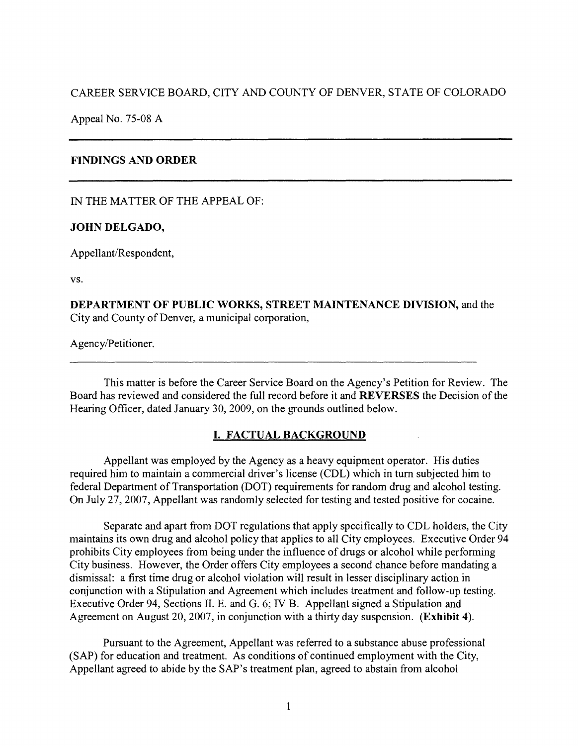CAREER SERVICE BOARD, CITY AND COUNTY OF DENVER, STATE OF COLORADO

Appeal No. 75-08 A

## **FINDINGS AND ORDER**

IN THE MATTER OF THE APPEAL OF:

## **JOHN DELGADO,**

Appellant/Respondent,

vs.

**DEPARTMENT OF PUBLIC WORKS, STREET MAINTENANCE DIVISION,** and the City and County of Denver, a municipal corporation,

Agency/Petitioner.

This matter is before the Career Service Board on the Agency's Petition for Review. The Board has reviewed and considered the full record before it and **REVERSES** the Decision of the Hearing Officer, dated January 30, 2009, on the grounds outlined below.

# **I. FACTUAL BACKGROUND**

Appellant was employed by the Agency as a heavy equipment operator. His duties required him to maintain a commercial driver's license (CDL) which in tum subjected him to federal Department of Transportation (DOT) requirements for random drug and alcohol testing. On July 27, 2007, Appellant was randomly selected for testing and tested positive for cocaine.

Separate and apart from DOT regulations that apply specifically to CDL holders, the City maintains its own drug and alcohol policy that applies to all City employees. Executive Order 94 prohibits City employees from being under the influence of drugs or alcohol while performing City business. However, the Order offers City employees a second chance before mandating a dismissal: a first time drug or alcohol violation will result in lesser disciplinary action in conjunction with a Stipulation and Agreement which includes treatment and follow-up testing. Executive Order 94, Sections II. E. and G. 6; IV B. Appellant signed a Stipulation and Agreement on August 20, 2007, in conjunction with a thirty day suspension. **(Exhibit 4).** 

Pursuant to the Agreement, Appellant was referred to a substance abuse professional (SAP) for education and treatment. As conditions of continued employment with the City, Appellant agreed to abide by the SAP's treatment plan, agreed to abstain from alcohol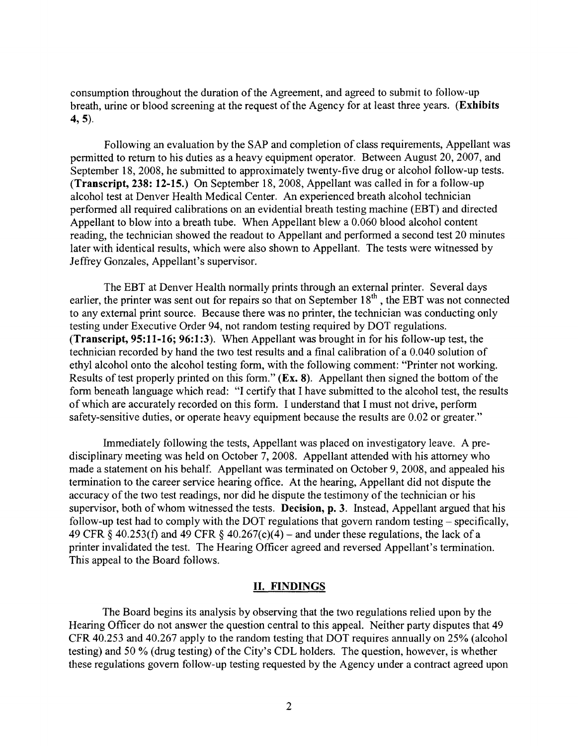consumption throughout the duration of the Agreement, and agreed to submit to follow-up breath, urine or blood screening at the request of the Agency for at least three years. **(Exhibits 4, 5).** 

Following an evaluation by the SAP and completion of class requirements, Appellant was permitted to return to his duties as a heavy equipment operator. Between August 20, 2007, and September 18, 2008, he submitted to approximately twenty-five drug or alcohol follow-up tests. **(Transcript, 238: 12-15.)** On September 18, 2008, Appellant was called in for a follow-up alcohol test at Denver Health Medical Center. An experienced breath alcohol technician performed all required calibrations on an evidential breath testing machine (EBT) and directed Appellant to blow into a breath tube. When Appellant blew a 0.060 blood alcohol content reading, the technician showed the readout to Appellant and performed a second test 20 minutes later with identical results, which were also shown to Appellant. The tests were witnessed by Jeffrey Gonzales, Appellant's supervisor.

The EBT at Denver Health normally prints through an external printer. Several days earlier, the printer was sent out for repairs so that on September  $18<sup>th</sup>$ , the EBT was not connected to any external print source. Because there was no printer, the technician was conducting only testing under Executive Order 94, not random testing required by DOT regulations. **(Transcript, 95:11-16; 96:1 :3).** When Appellant was brought in for his follow-up test, the technician recorded by hand the two test results and a final calibration of a 0.040 solution of ethyl alcohol onto the alcohol testing form, with the following comment: "Printer not working. Results of test properly printed on this form." **(Ex. 8).** Appellant then signed the bottom of the form beneath language which read: "I certify that I have submitted to the alcohol test, the results of which are accurately recorded on this form. I understand that I must not drive, perform safety-sensitive duties, or operate heavy equipment because the results are 0.02 or greater."

Immediately following the tests, Appellant was placed on investigatory leave. A predisciplinary meeting was held on October 7, 2008. Appellant attended with his attorney who made a statement on his behalf. Appellant was terminated on October 9, 2008, and appealed his termination to the career service hearing office. At the hearing, Appellant did not dispute the accuracy of the two test readings, nor did he dispute the testimony of the technician or his supervisor, both of whom witnessed the tests. **Decision, p. 3.** Instead, Appellant argued that his follow-up test had to comply with the DOT regulations that govern random testing  $-$  specifically, 49 CFR § 40.253(f) and 49 CFR § 40.267(c)(4) – and under these regulations, the lack of a printer invalidated the test. The Hearing Officer agreed and reversed Appellant's termination. This appeal to the Board follows.

#### **II. FINDINGS**

The Board begins its analysis by observing that the two regulations relied upon by the Hearing Officer do not answer the question central to this appeal. Neither party disputes that 49 CFR 40.253 and 40.267 apply to the random testing that DOT requires annually on 25% (alcohol testing) and 50 % (drug testing) of the City's CDL holders. The question, however, is whether these regulations govern follow-up testing requested by the Agency under a contract agreed upon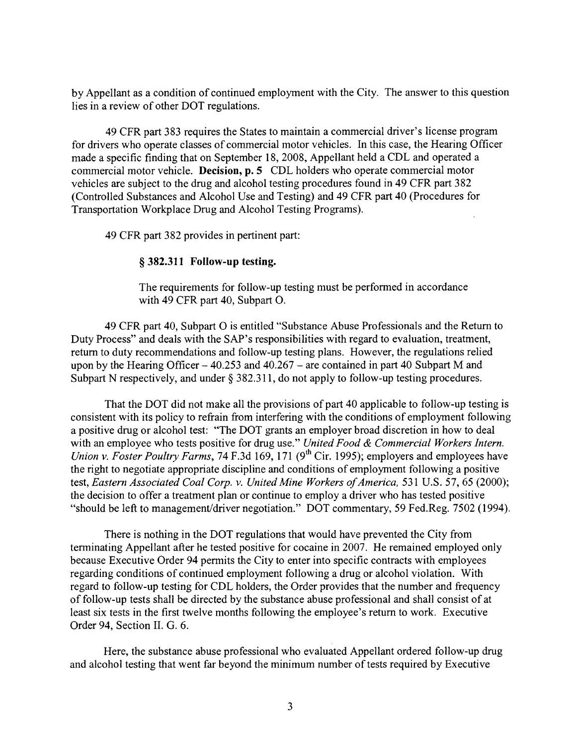by Appellant as a condition of continued employment with the City. The answer to this question lies in a review of other DOT regulations.

49 CFR part 383 requires the States to maintain a commercial driver's license program for drivers who operate classes of commercial motor vehicles. In this case, the Hearing Officer made a specific finding that on September 18, 2008, Appellant held a CDL and operated a commercial motor vehicle. **Decision, p. 5** CDL holders who operate commercial motor vehicles are subject to the drug and alcohol testing procedures found in 49 CFR part 382 (Controlled Substances and Alcohol Use and Testing) and 49 CFR part 40 (Procedures for Transportation Workplace Drug and Alcohol Testing Programs).

49 CFR part 382 provides in pertinent part:

### § **382.311 Follow-up testing.**

The requirements for follow-up testing must be performed in accordance with 49 CFR part 40, Subpart O.

49 CFR part 40, Subpart O is entitled "Substance Abuse Professionals and the Return to Duty Process" and deals with the SAP's responsibilities with regard to evaluation, treatment, return to duty recommendations and follow-up testing plans. However, the regulations relied upon by the Hearing Officer  $-40.253$  and  $40.267$  – are contained in part 40 Subpart M and Subpart N respectively, and under  $\S$  382.311, do not apply to follow-up testing procedures.

That the DOT did not make all the provisions of part 40 applicable to follow-up testing is consistent with its policy to refrain from interfering with the conditions of employment following a positive drug or alcohol test: "The DOT grants an employer broad discretion in how to deal with an employee who tests positive for drug use." *United Food & Commercial Workers Intern. Union v. Foster Poultry Farms, 74 F.3d 169, 171 (9<sup>th</sup> Cir. 1995); employers and employees have* the right to negotiate appropriate discipline and conditions of employment following a positive test, *Eastern Associated Coal Corp. v. United Mine Workers of America,* 531 U.S. 57, 65 (2000); the decision to offer a treatment plan or continue to employ a driver who has tested positive "should be left to management/driver negotiation." DOT commentary, 59 Fed.Reg. 7502 (1994).

There is nothing in the DOT regulations that would have prevented the City from terminating Appellant after he tested positive for cocaine in 2007. He remained employed only because Executive Order 94 permits the City to enter into specific contracts with employees regarding conditions of continued employment following a drug or alcohol violation. With regard to follow-up testing for CDL holders, the Order provides that the number and frequency of follow-up tests shall be directed by the substance abuse professional and shall consist of at least six tests in the first twelve months following the employee's return to work. Executive Order 94, Section II. G. 6.

Here, the substance abuse professional who evaluated Appellant ordered follow-up drug and alcohol testing that went far beyond the minimum number of tests required by Executive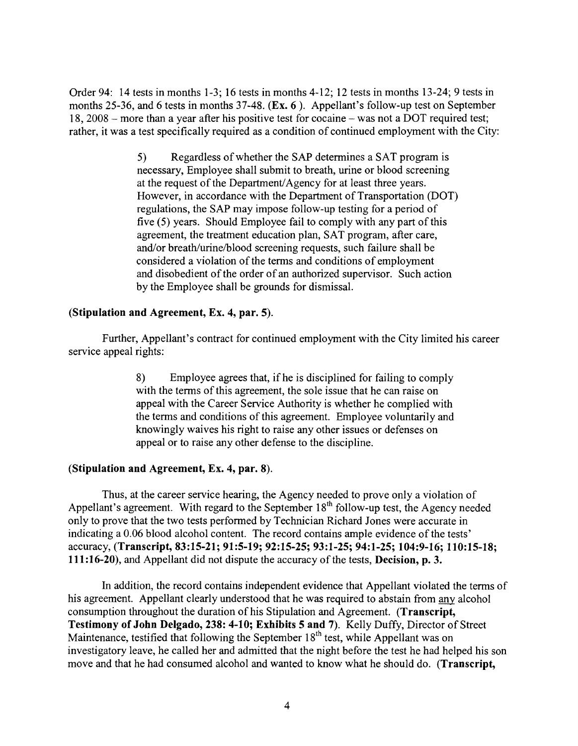Order 94: 14 tests in months 1-3; 16 tests in months 4-12; 12 tests in months 13-24; 9 tests in months 25-36, and 6 tests in months 37-48. **(Ex. 6** ). Appellant's follow-up test on September 18, 2008 – more than a year after his positive test for cocaine – was not a DOT required test; rather, it was a test specifically required as a condition of continued employment with the City:

> 5) Regardless of whether the SAP determines a SAT program is necessary, Employee shall submit to breath, urine or blood screening at the request of the Department/ Agency for at least three years. However, in accordance with the Department of Transportation (DOT) regulations, the SAP may impose follow-up testing for a period of five (5) years. Should Employee fail to comply with any part of this agreement, the treatment education plan, SAT program, after care, and/or breath/urine/blood screening requests, such failure shall be considered a violation of the terms and conditions of employment and disobedient of the order of an authorized supervisor. Such action by the Employee shall be grounds for dismissal.

## **(Stipulation and Agreement, Ex. 4, par. 5).**

Further, Appellant's contract for continued employment with the City limited his career service appeal rights:

> 8) Employee agrees that, ifhe is disciplined for failing to comply with the terms of this agreement, the sole issue that he can raise on appeal with the Career Service Authority is whether he complied with the terms and conditions of this agreement. Employee voluntarily and knowingly waives his right to raise any other issues or defenses on appeal or to raise any other defense to the discipline.

## **(Stipulation and Agreement, Ex. 4, par. 8).**

Thus, at the career service hearing, the Agency needed to prove only a violation of Appellant's agreement. With regard to the September  $18<sup>th</sup>$  follow-up test, the Agency needed only to prove that the two tests performed by Technician Richard Jones were accurate in indicating a 0.06 blood alcohol content. The record contains ample evidence of the tests' accuracy, **(Transcript, 83:15-21; 91:5-19; 92:15-25; 93:1-25; 94:1-25; 104:9-16; 110:15-18; 111 :16-20),** and Appellant did not dispute the accuracy of the tests, **Decision, p. 3.** 

In addition, the record contains independent evidence that Appellant violated the terms of his agreement. Appellant clearly understood that he was required to abstain from any alcohol consumption throughout the duration of his Stipulation and Agreement. **(Transcript, Testimony of John Delgado, 238: 4-10; Exhibits 5 and 7).** Kelly Duffy, Director of Street Maintenance, testified that following the September  $18<sup>th</sup>$  test, while Appellant was on investigatory leave, he called her and admitted that the night before the test he had helped his son move and that he had consumed alcohol and wanted to know what he should do. **(Transcript,**